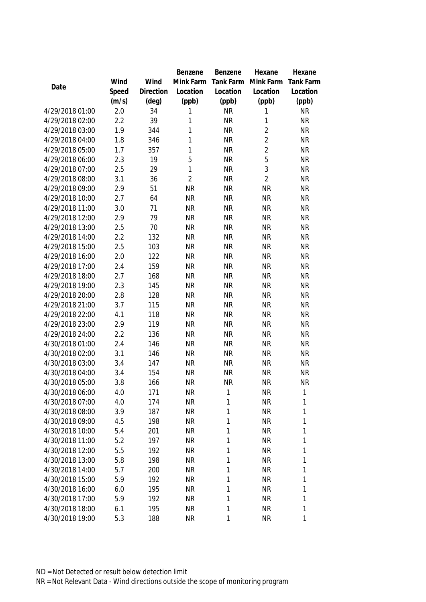|                                    |            |                | Benzene                | Benzene   | Hexane                 | Hexane           |
|------------------------------------|------------|----------------|------------------------|-----------|------------------------|------------------|
|                                    | Wind       | Wind           | Mink Farm              | Tank Farm | Mink Farm              | <b>Tank Farm</b> |
| Date                               | Speed      | Direction      | Location               | Location  | Location               | Location         |
|                                    | (m/s)      | $(\text{deg})$ | (ppb)                  | (ppb)     | (ppb)                  | (ppb)            |
| 4/29/2018 01:00                    | 2.0        | 34             | 1                      | <b>NR</b> | 1                      | <b>NR</b>        |
| 4/29/2018 02:00                    | 2.2        | 39             | 1                      | <b>NR</b> | $\mathbf{1}$           | <b>NR</b>        |
| 4/29/2018 03:00                    | 1.9        | 344            | 1                      | <b>NR</b> | $\overline{2}$         | <b>NR</b>        |
| 4/29/2018 04:00                    | 1.8        | 346            | 1                      | <b>NR</b> | $\overline{2}$         | <b>NR</b>        |
| 4/29/2018 05:00                    | 1.7        | 357            | 1                      | <b>NR</b> | $\overline{2}$         | <b>NR</b>        |
| 4/29/2018 06:00                    | 2.3        | 19             | 5                      | <b>NR</b> | 5                      | <b>NR</b>        |
| 4/29/2018 07:00                    | 2.5        | 29             | 1                      | <b>NR</b> | 3                      | <b>NR</b>        |
| 4/29/2018 08:00                    | 3.1        | 36             | $\overline{2}$         | <b>NR</b> | $\overline{2}$         | <b>NR</b>        |
| 4/29/2018 09:00                    | 2.9        | 51             | <b>NR</b>              | <b>NR</b> | <b>NR</b>              | <b>NR</b>        |
| 4/29/2018 10:00                    | 2.7        | 64             | <b>NR</b>              | <b>NR</b> | <b>NR</b>              | <b>NR</b>        |
| 4/29/2018 11:00                    | 3.0        | 71             | <b>NR</b>              | <b>NR</b> | <b>NR</b>              | <b>NR</b>        |
| 4/29/2018 12:00                    | 2.9        | 79             | <b>NR</b>              | <b>NR</b> | <b>NR</b>              | <b>NR</b>        |
| 4/29/2018 13:00                    | 2.5        | 70             | <b>NR</b>              | <b>NR</b> | <b>NR</b>              | <b>NR</b>        |
| 4/29/2018 14:00                    | 2.2        | 132            | <b>NR</b>              | <b>NR</b> | <b>NR</b>              | <b>NR</b>        |
| 4/29/2018 15:00                    | 2.5        | 103            | <b>NR</b>              | <b>NR</b> | <b>NR</b>              | <b>NR</b>        |
| 4/29/2018 16:00                    | 2.0        | 122            | <b>NR</b>              | <b>NR</b> | <b>NR</b>              | <b>NR</b>        |
| 4/29/2018 17:00                    | 2.4        | 159            | <b>NR</b>              | <b>NR</b> | <b>NR</b>              | <b>NR</b>        |
| 4/29/2018 18:00                    | 2.7        | 168            | <b>NR</b>              | <b>NR</b> | <b>NR</b>              | <b>NR</b>        |
| 4/29/2018 19:00                    | 2.3        | 145            | <b>NR</b>              | <b>NR</b> | <b>NR</b>              | <b>NR</b>        |
| 4/29/2018 20:00                    | 2.8        | 128            | <b>NR</b>              | <b>NR</b> | <b>NR</b>              | <b>NR</b>        |
| 4/29/2018 21:00                    | 3.7        | 115            | <b>NR</b>              | <b>NR</b> | <b>NR</b>              | <b>NR</b>        |
| 4/29/2018 22:00                    | 4.1        | 118            | <b>NR</b>              | <b>NR</b> | <b>NR</b>              | <b>NR</b>        |
| 4/29/2018 23:00                    | 2.9        | 119            | <b>NR</b>              | <b>NR</b> | <b>NR</b>              | <b>NR</b>        |
| 4/29/2018 24:00                    | 2.2        | 136            | <b>NR</b>              | <b>NR</b> | <b>NR</b>              | <b>NR</b>        |
| 4/30/2018 01:00                    | 2.4        | 146            | <b>NR</b>              | <b>NR</b> | <b>NR</b>              | <b>NR</b>        |
| 4/30/2018 02:00                    | 3.1        | 146            | <b>NR</b>              | <b>NR</b> | <b>NR</b>              | <b>NR</b>        |
| 4/30/2018 03:00                    | 3.4        | 147            | <b>NR</b>              | <b>NR</b> | <b>NR</b>              | <b>NR</b>        |
| 4/30/2018 04:00                    | 3.4        | 154            | <b>NR</b>              | <b>NR</b> | <b>NR</b>              | <b>NR</b>        |
| 4/30/2018 05:00                    | 3.8        | 166            | <b>NR</b>              | <b>NR</b> | <b>NR</b>              | <b>NR</b>        |
| 4/30/2018 06:00                    | 4.0        | 171            | <b>NR</b>              | 1         | <b>NR</b>              | 1                |
| 4/30/2018 07:00                    | 4.0        | 174            | <b>NR</b>              | 1         | <b>NR</b>              | 1                |
| 4/30/2018 08:00                    | 3.9        | 187            | <b>NR</b>              | 1         | <b>NR</b>              | 1                |
| 4/30/2018 09:00                    | 4.5        | 198<br>201     | <b>NR</b>              | 1<br>1    | <b>NR</b>              | 1                |
| 4/30/2018 10:00<br>4/30/2018 11:00 | 5.4<br>5.2 | 197            | <b>NR</b><br><b>NR</b> | 1         | <b>NR</b><br><b>NR</b> | 1<br>1           |
| 4/30/2018 12:00                    | 5.5        | 192            | <b>NR</b>              |           | <b>NR</b>              |                  |
| 4/30/2018 13:00                    | 5.8        | 198            | <b>NR</b>              | 1<br>1    | <b>NR</b>              | 1<br>1           |
| 4/30/2018 14:00                    | 5.7        | 200            | <b>NR</b>              | 1         | <b>NR</b>              | 1                |
| 4/30/2018 15:00                    | 5.9        | 192            | <b>NR</b>              | 1         | <b>NR</b>              | 1                |
| 4/30/2018 16:00                    | 6.0        | 195            | <b>NR</b>              | 1         | <b>NR</b>              | 1                |
| 4/30/2018 17:00                    | 5.9        | 192            | <b>NR</b>              | 1         | <b>NR</b>              | 1                |
| 4/30/2018 18:00                    | 6.1        | 195            | <b>NR</b>              | 1         | <b>NR</b>              | 1                |
| 4/30/2018 19:00                    | 5.3        | 188            | <b>NR</b>              | 1         | <b>NR</b>              | 1                |
|                                    |            |                |                        |           |                        |                  |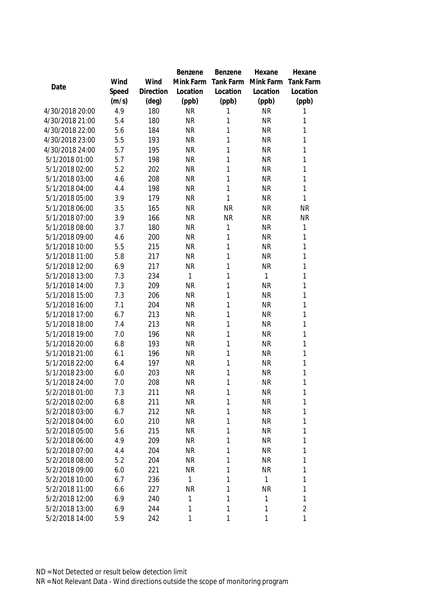|                 |       |           | Benzene      | Benzene      | Hexane       | Hexane           |
|-----------------|-------|-----------|--------------|--------------|--------------|------------------|
|                 | Wind  | Wind      | Mink Farm    | Tank Farm    | Mink Farm    | <b>Tank Farm</b> |
| Date            | Speed | Direction | Location     | Location     | Location     | Location         |
|                 | (m/s) | (deg)     | (ppb)        | (ppb)        | (ppb)        | (ppb)            |
| 4/30/2018 20:00 | 4.9   | 180       | <b>NR</b>    | 1            | <b>NR</b>    | 1                |
| 4/30/2018 21:00 | 5.4   | 180       | <b>NR</b>    | 1            | <b>NR</b>    | 1                |
| 4/30/2018 22:00 | 5.6   | 184       | <b>NR</b>    | $\mathbf{1}$ | <b>NR</b>    | 1                |
| 4/30/2018 23:00 | 5.5   | 193       | <b>NR</b>    | 1            | <b>NR</b>    | 1                |
| 4/30/2018 24:00 | 5.7   | 195       | <b>NR</b>    | 1            | <b>NR</b>    | $\mathbf{1}$     |
| 5/1/2018 01:00  | 5.7   | 198       | <b>NR</b>    | 1            | <b>NR</b>    | 1                |
| 5/1/2018 02:00  | 5.2   | 202       | <b>NR</b>    | 1            | <b>NR</b>    | 1                |
| 5/1/2018 03:00  | 4.6   | 208       | <b>NR</b>    | 1            | <b>NR</b>    | 1                |
| 5/1/2018 04:00  | 4.4   | 198       | <b>NR</b>    | 1            | <b>NR</b>    | 1                |
| 5/1/2018 05:00  | 3.9   | 179       | <b>NR</b>    | 1            | <b>NR</b>    | 1                |
| 5/1/2018 06:00  | 3.5   | 165       | <b>NR</b>    | <b>NR</b>    | <b>NR</b>    | <b>NR</b>        |
| 5/1/2018 07:00  | 3.9   | 166       | <b>NR</b>    | <b>NR</b>    | <b>NR</b>    | <b>NR</b>        |
| 5/1/2018 08:00  | 3.7   | 180       | <b>NR</b>    | $\mathbf 1$  | <b>NR</b>    | 1                |
| 5/1/2018 09:00  | 4.6   | 200       | <b>NR</b>    | 1            | <b>NR</b>    | 1                |
| 5/1/2018 10:00  | 5.5   | 215       | <b>NR</b>    | 1            | <b>NR</b>    | 1                |
| 5/1/2018 11:00  | 5.8   | 217       | <b>NR</b>    | 1            | <b>NR</b>    | 1                |
| 5/1/2018 12:00  | 6.9   | 217       | <b>NR</b>    | 1            | <b>NR</b>    | $\mathbf{1}$     |
| 5/1/2018 13:00  | 7.3   | 234       | 1            | 1            | 1            | $\mathbf{1}$     |
| 5/1/2018 14:00  | 7.3   | 209       | <b>NR</b>    | 1            | <b>NR</b>    | 1                |
| 5/1/2018 15:00  | 7.3   | 206       | <b>NR</b>    | 1            | <b>NR</b>    | 1                |
| 5/1/2018 16:00  | 7.1   | 204       | <b>NR</b>    | 1            | <b>NR</b>    | 1                |
| 5/1/2018 17:00  | 6.7   | 213       | <b>NR</b>    | 1            | <b>NR</b>    | 1                |
| 5/1/2018 18:00  | 7.4   | 213       | <b>NR</b>    | 1            | <b>NR</b>    | 1                |
| 5/1/2018 19:00  | 7.0   | 196       | <b>NR</b>    | 1            | <b>NR</b>    | 1                |
| 5/1/2018 20:00  | 6.8   | 193       | <b>NR</b>    | 1            | <b>NR</b>    | 1                |
| 5/1/2018 21:00  | 6.1   | 196       | <b>NR</b>    | $\mathbf{1}$ | <b>NR</b>    | 1                |
| 5/1/2018 22:00  | 6.4   | 197       | <b>NR</b>    | $\mathbf{1}$ | <b>NR</b>    | 1                |
| 5/1/2018 23:00  | 6.0   | 203       | <b>NR</b>    | 1            | <b>NR</b>    | 1                |
| 5/1/2018 24:00  | 7.0   | 208       | <b>NR</b>    | 1            | <b>NR</b>    | 1                |
| 5/2/2018 01:00  | 7.3   | 211       | <b>NR</b>    | 1            | <b>NR</b>    | 1                |
| 5/2/2018 02:00  | 6.8   | 211       | <b>NR</b>    | 1            | <b>NR</b>    | 1                |
| 5/2/2018 03:00  | 6.7   | 212       | <b>NR</b>    | 1            | <b>NR</b>    | 1                |
| 5/2/2018 04:00  | 6.0   | 210       | <b>NR</b>    | 1            | <b>NR</b>    | 1                |
| 5/2/2018 05:00  | 5.6   | 215       | <b>NR</b>    | 1            | <b>NR</b>    | 1                |
| 5/2/2018 06:00  | 4.9   | 209       | <b>NR</b>    | 1            | <b>NR</b>    | 1                |
| 5/2/2018 07:00  | 4.4   | 204       | <b>NR</b>    | 1            | <b>NR</b>    | 1                |
| 5/2/2018 08:00  | 5.2   | 204       | <b>NR</b>    | $\mathbf 1$  | <b>NR</b>    | 1                |
| 5/2/2018 09:00  | 6.0   | 221       | <b>NR</b>    | 1            | <b>NR</b>    | 1                |
| 5/2/2018 10:00  | 6.7   | 236       | $\mathbf{1}$ | $\mathbf 1$  | $\mathbf{1}$ | 1                |
| 5/2/2018 11:00  | 6.6   | 227       | <b>NR</b>    | 1            | <b>NR</b>    | 1                |
| 5/2/2018 12:00  | 6.9   | 240       | 1            | $\mathbf 1$  | 1            | 1                |
| 5/2/2018 13:00  | 6.9   | 244       | 1            | $\mathbf 1$  | 1            | $\overline{2}$   |
| 5/2/2018 14:00  | 5.9   | 242       | 1            | 1            | 1            | 1                |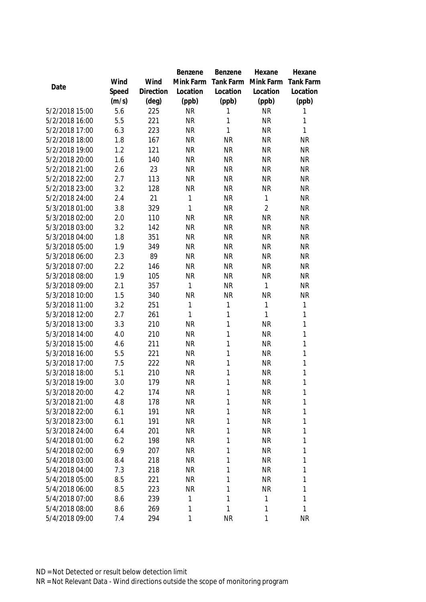|                |       |                | Benzene   | Benzene      | Hexane         | Hexane           |
|----------------|-------|----------------|-----------|--------------|----------------|------------------|
|                | Wind  | Wind           | Mink Farm | Tank Farm    | Mink Farm      | <b>Tank Farm</b> |
| Date           | Speed | Direction      | Location  | Location     | Location       | Location         |
|                | (m/s) | $(\text{deg})$ | (ppb)     | (ppb)        | (ppb)          | (ppb)            |
| 5/2/2018 15:00 | 5.6   | 225            | <b>NR</b> | 1            | <b>NR</b>      | 1                |
| 5/2/2018 16:00 | 5.5   | 221            | <b>NR</b> | 1            | <b>NR</b>      | 1                |
| 5/2/2018 17:00 | 6.3   | 223            | <b>NR</b> | 1            | <b>NR</b>      | 1                |
| 5/2/2018 18:00 | 1.8   | 167            | <b>NR</b> | <b>NR</b>    | <b>NR</b>      | <b>NR</b>        |
| 5/2/2018 19:00 | 1.2   | 121            | <b>NR</b> | <b>NR</b>    | <b>NR</b>      | <b>NR</b>        |
| 5/2/2018 20:00 | 1.6   | 140            | <b>NR</b> | <b>NR</b>    | <b>NR</b>      | <b>NR</b>        |
| 5/2/2018 21:00 | 2.6   | 23             | <b>NR</b> | <b>NR</b>    | <b>NR</b>      | <b>NR</b>        |
| 5/2/2018 22:00 | 2.7   | 113            | <b>NR</b> | <b>NR</b>    | <b>NR</b>      | <b>NR</b>        |
| 5/2/2018 23:00 | 3.2   | 128            | <b>NR</b> | <b>NR</b>    | <b>NR</b>      | <b>NR</b>        |
| 5/2/2018 24:00 | 2.4   | 21             | 1         | <b>NR</b>    | $\mathbf{1}$   | <b>NR</b>        |
| 5/3/2018 01:00 | 3.8   | 329            | 1         | <b>NR</b>    | $\overline{2}$ | <b>NR</b>        |
| 5/3/2018 02:00 | 2.0   | 110            | <b>NR</b> | <b>NR</b>    | <b>NR</b>      | <b>NR</b>        |
| 5/3/2018 03:00 | 3.2   | 142            | <b>NR</b> | <b>NR</b>    | <b>NR</b>      | <b>NR</b>        |
| 5/3/2018 04:00 | 1.8   | 351            | <b>NR</b> | <b>NR</b>    | <b>NR</b>      | <b>NR</b>        |
| 5/3/2018 05:00 | 1.9   | 349            | <b>NR</b> | <b>NR</b>    | <b>NR</b>      | <b>NR</b>        |
| 5/3/2018 06:00 | 2.3   | 89             | <b>NR</b> | <b>NR</b>    | <b>NR</b>      | <b>NR</b>        |
| 5/3/2018 07:00 | 2.2   | 146            | <b>NR</b> | <b>NR</b>    | <b>NR</b>      | <b>NR</b>        |
| 5/3/2018 08:00 | 1.9   | 105            | <b>NR</b> | <b>NR</b>    | <b>NR</b>      | <b>NR</b>        |
| 5/3/2018 09:00 | 2.1   | 357            | 1         | <b>NR</b>    | $\mathbf{1}$   | <b>NR</b>        |
| 5/3/2018 10:00 | 1.5   | 340            | <b>NR</b> | <b>NR</b>    | <b>NR</b>      | <b>NR</b>        |
| 5/3/2018 11:00 | 3.2   | 251            | 1         | 1            | $\mathbf{1}$   | 1                |
| 5/3/2018 12:00 | 2.7   | 261            | 1         | 1            | $\mathbf{1}$   | 1                |
| 5/3/2018 13:00 | 3.3   | 210            | <b>NR</b> | 1            | <b>NR</b>      | 1                |
| 5/3/2018 14:00 | 4.0   | 210            | <b>NR</b> | 1            | <b>NR</b>      | 1                |
| 5/3/2018 15:00 | 4.6   | 211            | <b>NR</b> | $\mathbf{1}$ | <b>NR</b>      | 1                |
| 5/3/2018 16:00 | 5.5   | 221            | <b>NR</b> | 1            | <b>NR</b>      | 1                |
| 5/3/2018 17:00 | 7.5   | 222            | <b>NR</b> | $\mathbf{1}$ | <b>NR</b>      | 1                |
| 5/3/2018 18:00 | 5.1   | 210            | <b>NR</b> | 1            | <b>NR</b>      | 1                |
| 5/3/2018 19:00 | 3.0   | 179            | <b>NR</b> | 1            | <b>NR</b>      | 1                |
| 5/3/2018 20:00 | 4.2   | 174            | <b>NR</b> | 1            | <b>NR</b>      | 1                |
| 5/3/2018 21:00 | 4.8   | 178            | <b>NR</b> | 1            | <b>NR</b>      | 1                |
| 5/3/2018 22:00 | 6.1   | 191            | <b>NR</b> | 1            | <b>NR</b>      | 1                |
| 5/3/2018 23:00 | 6.1   | 191            | <b>NR</b> | 1            | <b>NR</b>      | 1                |
| 5/3/2018 24:00 | 6.4   | 201            | <b>NR</b> | 1            | <b>NR</b>      | 1                |
| 5/4/2018 01:00 | 6.2   | 198            | <b>NR</b> | 1            | <b>NR</b>      | 1                |
| 5/4/2018 02:00 | 6.9   | 207            | <b>NR</b> | 1            | <b>NR</b>      | 1                |
| 5/4/2018 03:00 | 8.4   | 218            | <b>NR</b> | 1            | <b>NR</b>      | 1                |
| 5/4/2018 04:00 | 7.3   | 218            | <b>NR</b> | 1            | <b>NR</b>      | 1                |
| 5/4/2018 05:00 | 8.5   | 221            | <b>NR</b> | 1            | <b>NR</b>      | 1                |
| 5/4/2018 06:00 | 8.5   | 223            | <b>NR</b> | 1            | <b>NR</b>      | 1                |
| 5/4/2018 07:00 | 8.6   | 239            | 1         | 1            | $\mathbf{1}$   | 1                |
| 5/4/2018 08:00 | 8.6   | 269            | 1         | 1            | 1              | 1                |
| 5/4/2018 09:00 | 7.4   | 294            | 1         | <b>NR</b>    | 1              | <b>NR</b>        |